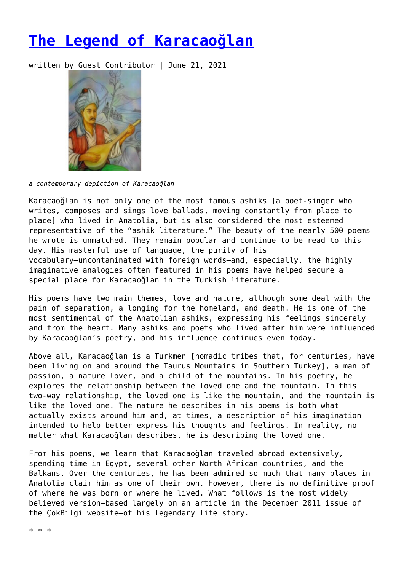## **[The Legend of Karacaoğlan](https://entropymag.org/the-legend-of-karacaoglan/)**

written by Guest Contributor | June 21, 2021



*a contemporary depiction of Karacaoğlan*

Karacaoğlan is not only one of the most famous ashiks [a poet-singer who writes, composes and sings love ballads, moving constantly from place to place] who lived in Anatolia, but is also considered the most esteemed representative of the "ashik literature." The beauty of the nearly 500 poems he wrote is unmatched. They remain popular and continue to be read to this day. His masterful use of language, the purity of his vocabulary—uncontaminated with foreign words—and, especially, the highly imaginative analogies often featured in his poems have helped secure a special place for Karacaoğlan in the Turkish literature.

His poems have two main themes, love and nature, although some deal with the pain of separation, a longing for the homeland, and death. He is one of the most sentimental of the Anatolian ashiks, expressing his feelings sincerely and from the heart. Many ashiks and poets who lived after him were influenced by Karacaoğlan's poetry, and his influence continues even today.

Above all, Karacaoğlan is a Turkmen [nomadic tribes that, for centuries, have been living on and around the Taurus Mountains in Southern Turkey], a man of passion, a nature lover, and a child of the mountains. In his poetry, he explores the relationship between the loved one and the mountain. In this two-way relationship, the loved one is like the mountain, and the mountain is like the loved one. The nature he describes in his poems is both what actually exists around him and, at times, a description of his imagination intended to help better express his thoughts and feelings. In reality, no matter what Karacaoğlan describes, he is describing the loved one.

From his poems, we learn that Karacaoğlan traveled abroad extensively, spending time in Egypt, several other North African countries, and the Balkans. Over the centuries, he has been admired so much that many places in Anatolia claim him as one of their own. However, there is no definitive proof of where he was born or where he lived. What follows is the most widely believed version—based largely on an article in the December 2011 issue of the ÇokBilgi website—of his legendary life story.

\* \* \*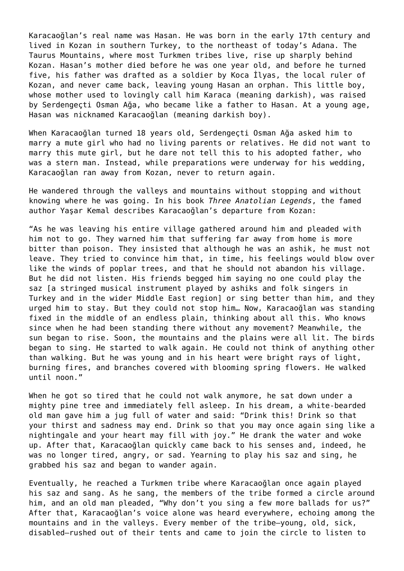Karacaoğlan's real name was Hasan. He was born in the early 17th century and lived in Kozan in southern Turkey, to the northeast of today's Adana. The Taurus Mountains, where most Turkmen tribes live, rise up sharply behind Kozan. Hasan's mother died before he was one year old, and before he turned five, his father was drafted as a soldier by Koca İlyas, the local ruler of Kozan, and never came back, leaving young Hasan an orphan. This little boy, whose mother used to lovingly call him Karaca (meaning darkish), was raised by Serdengeçti Osman Ağa, who became like a father to Hasan. At a young age, Hasan was nicknamed Karacaoğlan (meaning darkish boy).

When Karacaoğlan turned 18 years old, Serdengeçti Osman Ağa asked him to marry a mute girl who had no living parents or relatives. He did not want to marry this mute girl, but he dare not tell this to his adopted father, who was a stern man. Instead, while preparations were underway for his wedding, Karacaoğlan ran away from Kozan, never to return again.

He wandered through the valleys and mountains without stopping and without knowing where he was going. In his book *Three Anatolian Legends*, the famed author Yaşar Kemal describes Karacaoğlan's departure from Kozan:

"As he was leaving his entire village gathered around him and pleaded with him not to go. They warned him that suffering far away from home is more bitter than poison. They insisted that although he was an ashik, he must not leave. They tried to convince him that, in time, his feelings would blow over like the winds of poplar trees, and that he should not abandon his village. But he did not listen. His friends begged him saying no one could play the saz [a stringed musical instrument played by ashiks and folk singers in Turkey and in the wider Middle East region] or sing better than him, and they urged him to stay. But they could not stop him… Now, Karacaoğlan was standing fixed in the middle of an endless plain, thinking about all this. Who knows since when he had been standing there without any movement? Meanwhile, the sun began to rise. Soon, the mountains and the plains were all lit. The birds began to sing. He started to walk again. He could not think of anything other than walking. But he was young and in his heart were bright rays of light, burning fires, and branches covered with blooming spring flowers. He walked until noon."

When he got so tired that he could not walk anymore, he sat down under a mighty pine tree and immediately fell asleep. In his dream, a white-bearded old man gave him a jug full of water and said: "Drink this! Drink so that your thirst and sadness may end. Drink so that you may once again sing like a nightingale and your heart may fill with joy." He drank the water and woke up. After that, Karacaoğlan quickly came back to his senses and, indeed, he was no longer tired, angry, or sad. Yearning to play his saz and sing, he grabbed his saz and began to wander again.

Eventually, he reached a Turkmen tribe where Karacaoğlan once again played his saz and sang. As he sang, the members of the tribe formed a circle around him, and an old man pleaded, "Why don't you sing a few more ballads for us?" After that, Karacaoğlan's voice alone was heard everywhere, echoing among the mountains and in the valleys. Every member of the tribe—young, old, sick, disabled—rushed out of their tents and came to join the circle to listen to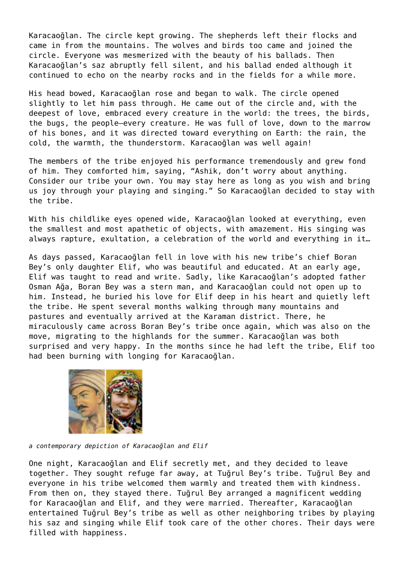Karacaoğlan. The circle kept growing. The shepherds left their flocks and came in from the mountains. The wolves and birds too came and joined the circle. Everyone was mesmerized with the beauty of his ballads. Then Karacaoğlan's saz abruptly fell silent, and his ballad ended although it continued to echo on the nearby rocks and in the fields for a while more.

His head bowed, Karacaoğlan rose and began to walk. The circle opened slightly to let him pass through. He came out of the circle and, with the deepest of love, embraced every creature in the world: the trees, the birds, the bugs, the people—every creature. He was full of love, down to the marrow of his bones, and it was directed toward everything on Earth: the rain, the cold, the warmth, the thunderstorm. Karacaoğlan was well again!

The members of the tribe enjoyed his performance tremendously and grew fond of him. They comforted him, saying, "Ashik, don't worry about anything. Consider our tribe your own. You may stay here as long as you wish and bring us joy through your playing and singing." So Karacaoğlan decided to stay with the tribe.

With his childlike eyes opened wide, Karacaoğlan looked at everything, even the smallest and most apathetic of objects, with amazement. His singing was always rapture, exultation, a celebration of the world and everything in it…

As days passed, Karacaoğlan fell in love with his new tribe's chief Boran Bey's only daughter Elif, who was beautiful and educated. At an early age, Elif was taught to read and write. Sadly, like Karacaoğlan's adopted father Osman Ağa, Boran Bey was a stern man, and Karacaoğlan could not open up to him. Instead, he buried his love for Elif deep in his heart and quietly left the tribe. He spent several months walking through many mountains and pastures and eventually arrived at the Karaman district. There, he miraculously came across Boran Bey's tribe once again, which was also on the move, migrating to the highlands for the summer. Karacaoğlan was both surprised and very happy. In the months since he had left the tribe, Elif too had been burning with longing for Karacaoğlan.



*a contemporary depiction of Karacaoğlan and Elif*

One night, Karacaoğlan and Elif secretly met, and they decided to leave together. They sought refuge far away, at Tuğrul Bey's tribe. Tuğrul Bey and everyone in his tribe welcomed them warmly and treated them with kindness. From then on, they stayed there. Tuğrul Bey arranged a magnificent wedding for Karacaoğlan and Elif, and they were married. Thereafter, Karacaoğlan entertained Tuğrul Bey's tribe as well as other neighboring tribes by playing his saz and singing while Elif took care of the other chores. Their days were filled with happiness.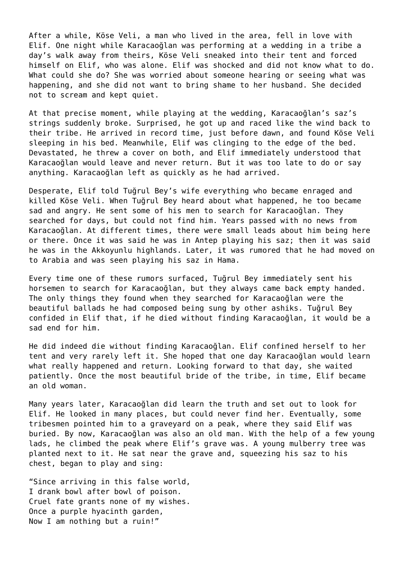After a while, Köse Veli, a man who lived in the area, fell in love with Elif. One night while Karacaoğlan was performing at a wedding in a tribe a day's walk away from theirs, Köse Veli sneaked into their tent and forced himself on Elif, who was alone. Elif was shocked and did not know what to do. What could she do? She was worried about someone hearing or seeing what was happening, and she did not want to bring shame to her husband. She decided not to scream and kept quiet.

At that precise moment, while playing at the wedding, Karacaoğlan's saz's strings suddenly broke. Surprised, he got up and raced like the wind back to their tribe. He arrived in record time, just before dawn, and found Köse Veli sleeping in his bed. Meanwhile, Elif was clinging to the edge of the bed. Devastated, he threw a cover on both, and Elif immediately understood that Karacaoğlan would leave and never return. But it was too late to do or say anything. Karacaoğlan left as quickly as he had arrived.

Desperate, Elif told Tuğrul Bey's wife everything who became enraged and killed Köse Veli. When Tuğrul Bey heard about what happened, he too became sad and angry. He sent some of his men to search for Karacaoğlan. They searched for days, but could not find him. Years passed with no news from Karacaoğlan. At different times, there were small leads about him being here or there. Once it was said he was in Antep playing his saz; then it was said he was in the Akkoyunlu highlands. Later, it was rumored that he had moved on to Arabia and was seen playing his saz in Hama.

Every time one of these rumors surfaced, Tuğrul Bey immediately sent his horsemen to search for Karacaoğlan, but they always came back empty handed. The only things they found when they searched for Karacaoğlan were the beautiful ballads he had composed being sung by other ashiks. Tuğrul Bey confided in Elif that, if he died without finding Karacaoğlan, it would be a sad end for him.

He did indeed die without finding Karacaoğlan. Elif confined herself to her tent and very rarely left it. She hoped that one day Karacaoğlan would learn what really happened and return. Looking forward to that day, she waited patiently. Once the most beautiful bride of the tribe, in time, Elif became an old woman.

Many years later, Karacaoğlan did learn the truth and set out to look for Elif. He looked in many places, but could never find her. Eventually, some tribesmen pointed him to a graveyard on a peak, where they said Elif was buried. By now, Karacaoğlan was also an old man. With the help of a few young lads, he climbed the peak where Elif's grave was. A young mulberry tree was planted next to it. He sat near the grave and, squeezing his saz to his chest, began to play and sing:

"Since arriving in this false world, I drank bowl after bowl of poison. Cruel fate grants none of my wishes. Once a purple hyacinth garden, Now I am nothing but a ruin!"